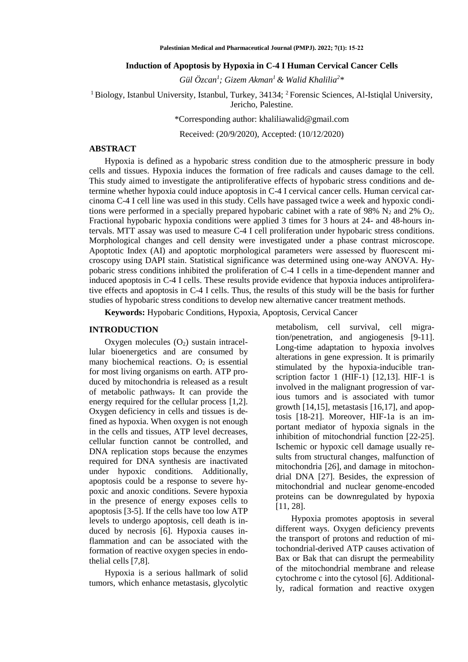## **Induction of Apoptosis by Hypoxia in C-4 I Human Cervical Cancer Cells**

*Gül Özcan<sup>1</sup> ; Gizem Akman<sup>1</sup>& Walid Khalilia<sup>2</sup> \**

<sup>1</sup> Biology, Istanbul University, Istanbul, Turkey, 34134; <sup>2</sup> Forensic Sciences, Al-Istiqlal University, Jericho, Palestine.

\*Corresponding author: [khaliliawalid@gmail.com](mailto:khaliliawalid@gmail.com)

Received: (20/9/2020), Accepted: (10/12/2020)

## **ABSTRACT**

Hypoxia is defined as a hypobaric stress condition due to the atmospheric pressure in body cells and tissues. Hypoxia induces the formation of free radicals and causes damage to the cell. This study aimed to investigate the antiproliferative effects of hypobaric stress conditions and determine whether hypoxia could induce apoptosis in C-4 I cervical cancer cells. Human cervical carcinoma C-4 I cell line was used in this study. Cells have passaged twice a week and hypoxic conditions were performed in a specially prepared hypobaric cabinet with a rate of 98%  $N_2$  and 2%  $O_2$ . Fractional hypobaric hypoxia conditions were applied 3 times for 3 hours at 24- and 48-hours intervals. MTT assay was used to measure C-4 I cell proliferation under hypobaric stress conditions. Morphological changes and cell density were investigated under a phase contrast microscope. Apoptotic Index (AI) and apoptotic morphological parameters were assessed by fluorescent microscopy using DAPI stain. Statistical significance was determined using one-way ANOVA. Hypobaric stress conditions inhibited the proliferation of C-4 I cells in a time-dependent manner and induced apoptosis in C-4 I cells. These results provide evidence that hypoxia induces antiproliferative effects and apoptosis in C-4 I cells. Thus, the results of this study will be the basis for further studies of hypobaric stress conditions to develop new alternative cancer treatment methods.

**Keywords:** Hypobaric Conditions, Hypoxia, Apoptosis, Cervical Cancer

#### **INTRODUCTION**

Oxygen molecules  $(O_2)$  sustain intracellular bioenergetics and are consumed by many biochemical reactions.  $O_2$  is essential for most living organisms on earth. ATP produced by mitochondria is released as a result of metabolic pathways. It can provide the energy required for the cellular process [1,2]. Oxygen deficiency in cells and tissues is defined as hypoxia. When oxygen is not enough in the cells and tissues, ATP level decreases, cellular function cannot be controlled, and DNA replication stops because the enzymes required for DNA synthesis are inactivated under hypoxic conditions. Additionally, apoptosis could be a response to severe hypoxic and anoxic conditions. Severe hypoxia in the presence of energy exposes cells to apoptosis [3-5]. If the cells have too low ATP levels to undergo apoptosis, cell death is induced by necrosis [6]. Hypoxia causes inflammation and can be associated with the formation of reactive oxygen species in endothelial cells [7,8].

Hypoxia is a serious hallmark of solid tumors, which enhance metastasis, glycolytic

metabolism, cell survival, cell migration/penetration, and angiogenesis [9-11]. Long-time adaptation to hypoxia involves alterations in gene expression. It is primarily stimulated by the hypoxia-inducible transcription factor 1 (HIF-1) [12,13]. HIF-1 is involved in the malignant progression of various tumors and is associated with tumor growth [14,15], metastasis [16,17], and apoptosis [18-21]. Moreover, HIF-1a is an important mediator of hypoxia signals in the inhibition of mitochondrial function [22-25]. Ischemic or hypoxic cell damage usually results from structural changes, malfunction of mitochondria [26], and damage in mitochondrial DNA [27]. Besides, the expression of mitochondrial and nuclear genome-encoded proteins can be downregulated by hypoxia [11, 28].

Hypoxia promotes apoptosis in several different ways. Oxygen deficiency prevents the transport of protons and reduction of mitochondrial-derived ATP causes activation of Bax or Bak that can disrupt the permeability of the mitochondrial membrane and release cytochrome c into the cytosol [6]. Additionally, radical formation and reactive oxygen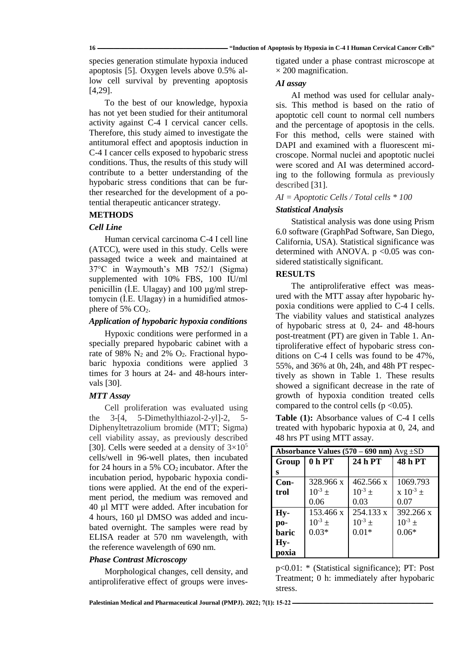species generation stimulate hypoxia induced apoptosis [5]. Oxygen levels above 0.5% allow cell survival by preventing apoptosis [4,29].

To the best of our knowledge, hypoxia has not yet been studied for their antitumoral activity against C-4 I cervical cancer cells. Therefore, this study aimed to investigate the antitumoral effect and apoptosis induction in C-4 I cancer cells exposed to hypobaric stress conditions. Thus, the results of this study will contribute to a better understanding of the hypobaric stress conditions that can be further researched for the development of a potential therapeutic anticancer strategy.

# **METHODS**

## *Cell Line*

Human cervical carcinoma C-4 I cell line (ATCC), were used in this study. Cells were passaged twice a week and maintained at 37°C in Waymouth's MB 752/1 (Sigma) supplemented with 10% FBS, 100 IU/ml penicillin (İ.E. Ulagay) and 100 µg/ml streptomycin (İ.E. Ulagay) in a humidified atmosphere of  $5\%$  CO<sub>2</sub>.

## *Application of hypobaric hypoxia conditions*

Hypoxic conditions were performed in a specially prepared hypobaric cabinet with a rate of 98%  $N_2$  and 2%  $O_2$ . Fractional hypobaric hypoxia conditions were applied 3 times for 3 hours at 24- and 48-hours intervals [30].

## *MTT Assay*

Cell proliferation was evaluated using the 3-[4, 5-Dimethylthiazol-2-yl]-2, 5- Diphenyltetrazolium bromide (MTT; Sigma) cell viability assay, as previously described [30]. Cells were seeded at a density of  $3\times10^5$ cells/well in 96-well plates, then incubated for 24 hours in a 5%  $CO<sub>2</sub>$  incubator. After the incubation period, hypobaric hypoxia conditions were applied. At the end of the experiment period, the medium was removed and 40 µl MTT were added. After incubation for 4 hours, 160 µl DMSO was added and incubated overnight. The samples were read by ELISA reader at 570 nm wavelength, with the reference wavelength of 690 nm.

# *Phase Contrast Microscopy*

Morphological changes, cell density, and antiproliferative effect of groups were investigated under a phase contrast microscope at  $\times$  200 magnification.

## *AI assay*

AI method was used for cellular analysis. This method is based on the ratio of apoptotic cell count to normal cell numbers and the percentage of apoptosis in the cells. For this method, cells were stained with DAPI and examined with a fluorescent microscope. Normal nuclei and apoptotic nuclei were scored and AI was determined according to the following formula as previously described [31].

## *AI = Apoptotic Cells / Total cells \* 100*

## *Statistical Analysis*

Statistical analysis was done using Prism 6.0 software (GraphPad Software, San Diego, California, USA). Statistical significance was determined with ANOVA. p <0.05 was considered statistically significant.

## **RESULTS**

The antiproliferative effect was measured with the MTT assay after hypobaric hypoxia conditions were applied to C-4 I cells. The viability values and statistical analyzes of hypobaric stress at 0, 24- and 48-hours post-treatment (PT) are given in Table 1. Antiproliferative effect of hypobaric stress conditions on C-4 I cells was found to be 47%, 55%, and 36% at 0h, 24h, and 48h PT respectively as shown in Table 1. These results showed a significant decrease in the rate of growth of hypoxia condition treated cells compared to the control cells ( $p < 0.05$ ).

**Table (1):** Absorbance values of C-4 I cells treated with hypobaric hypoxia at 0, 24, and 48 hrs PT using MTT assay.

| Absorbance Values $(570 - 690 \text{ nm})$ Avg $\pm$ SD |                   |             |               |
|---------------------------------------------------------|-------------------|-------------|---------------|
| Group                                                   | 0 <sub>h</sub> PT | 24 h PT     | 48 h PT       |
| s                                                       |                   |             |               |
| $Con-$                                                  | 328.966 x         | 462.566 x   | 1069.793      |
| trol                                                    | $10^{-3}$ ±       | $10^{-3}$ ± | $x 10^{-3}$ ± |
|                                                         | 0.06              | 0.03        | 0.07          |
| Hy-                                                     | 153.466 x         | 254.133 x   | 392.266 x     |
| po-                                                     | $10^{-3}$ ±       | $10^{-3}$ ± | $10^{-3}$ ±   |
| baric                                                   | $0.03*$           | $0.01*$     | $0.06*$       |
| Hy-                                                     |                   |             |               |
| poxia                                                   |                   |             |               |

p<0.01: \* (Statistical significance); PT: Post Treatment; 0 h: immediately after hypobaric stress.

[Palestinian Medical and Pharmaceutical Journal \(PMPJ\).](https://journals.najah.edu/journal/pmpj/browse-by-issue/)  $2022$ ;  $7(1)$ : 15-22 **-**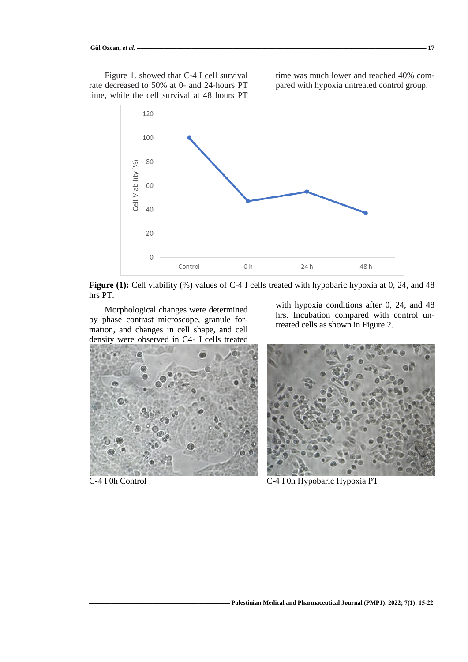Figure 1. showed that C-4 I cell survival rate decreased to 50% at 0- and 24-hours PT time, while the cell survival at 48 hours PT

time was much lower and reached 40% compared with hypoxia untreated control group.



**Figure (1):** Cell viability (%) values of C-4 I cells treated with hypobaric hypoxia at 0, 24, and 48 hrs PT.

Morphological changes were determined by phase contrast microscope, granule formation, and changes in cell shape, and cell density were observed in C4- I cells treated



with hypoxia conditions after 0, 24, and 48 hrs. Incubation compared with control untreated cells as shown in Figure 2.



C-4 I 0h Control C-4 I 0h Hypobaric Hypoxia PT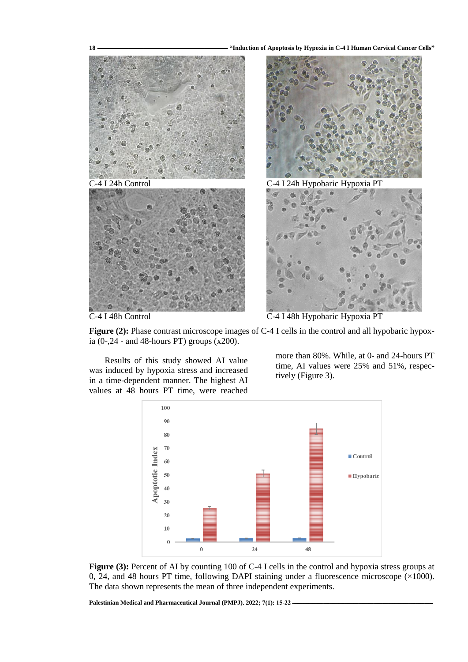**18 ـــــــــــــــــــــــــــــــــــــــــــــــــــــــــــــــــــــــــــــــــــــــــــــــــــــــــ" Induction of Apoptosis by Hypoxia in C-4 I Human Cervical Cancer Cells"**



Figure (2): Phase contrast microscope images of C-4 I cells in the control and all hypobaric hypoxia (0-,24 - and 48-hours PT) groups (x200).

Results of this study showed AI value was induced by hypoxia stress and increased in a time-dependent manner. The highest AI values at 48 hours PT time, were reached

more than 80%. While, at 0- and 24-hours PT time, AI values were 25% and 51%, respectively (Figure 3).



**Figure (3):** Percent of AI by counting 100 of C-4 I cells in the control and hypoxia stress groups at 0, 24, and 48 hours PT time, following DAPI staining under a fluorescence microscope  $(\times 1000)$ . The data shown represents the mean of three independent experiments.

[Palestinian Medical and Pharmaceutical Journal \(PMPJ\).](https://journals.najah.edu/journal/pmpj/browse-by-issue/)  $2022$ ;  $7(1)$ : 15-22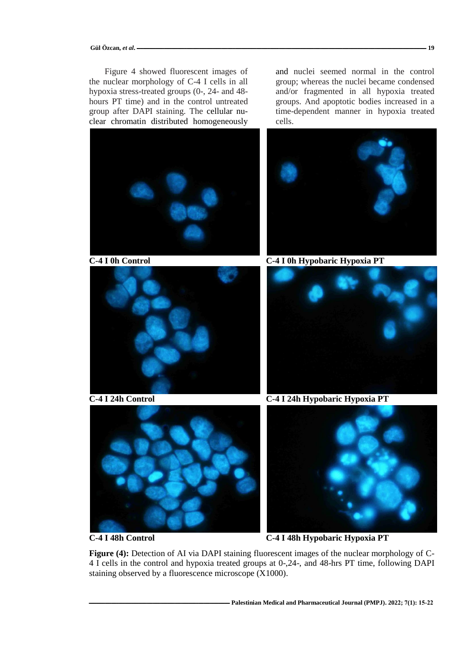Figure 4 showed fluorescent images of the nuclear morphology of C-4 I cells in all hypoxia stress-treated groups (0-, 24- and 48 hours PT time) and in the control untreated group after DAPI staining. The cellular nuclear chromatin distributed homogeneously

and nuclei seemed normal in the control group; whereas the nuclei became condensed and/or fragmented in all hypoxia treated groups. And apoptotic bodies increased in a time-dependent manner in hypoxia treated cells.



**C-4 I 48h Control C-4 I 48h Hypobaric Hypoxia PT**

**Figure (4):** Detection of AI via DAPI staining fluorescent images of the nuclear morphology of C-4 I cells in the control and hypoxia treated groups at 0-,24-, and 48-hrs PT time, following DAPI staining observed by a fluorescence microscope (X1000).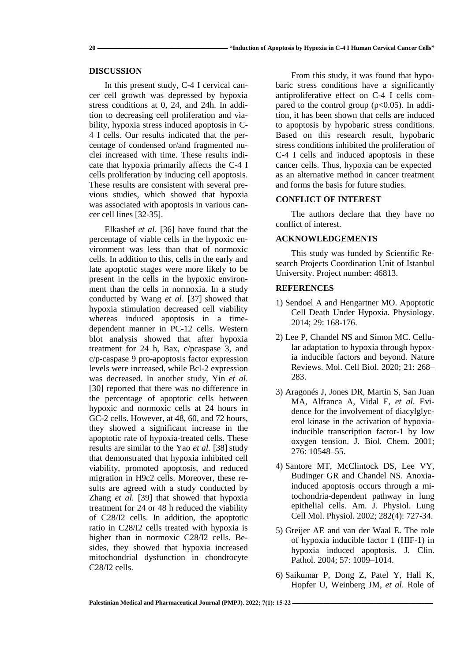#### **20 ـــــــــــــــــــــــــــــــــــــــــــــــــــــــــــــــــــــــــــــــــــــــــــــــــــــــــ" Induction of Apoptosis by Hypoxia in C-4 I Human Cervical Cancer Cells"**

## **DISCUSSION**

In this present study, C-4 I cervical cancer cell growth was depressed by hypoxia stress conditions at 0, 24, and 24h. In addition to decreasing cell proliferation and viability, hypoxia stress induced apoptosis in C-4 I cells. Our results indicated that the percentage of condensed or/and fragmented nuclei increased with time. These results indicate that hypoxia primarily affects the C-4 I cells proliferation by inducing cell apoptosis. These results are consistent with several previous studies, which showed that hypoxia was associated with apoptosis in various cancer cell lines [32-35].

Elkashef *et al*. [36] have found that the percentage of viable cells in the hypoxic environment was less than that of normoxic cells. In addition to this, cells in the early and late apoptotic stages were more likely to be present in the cells in the hypoxic environment than the cells in normoxia. In a study conducted by Wang *et al*. [37] showed that hypoxia stimulation decreased cell viability whereas induced apoptosis in a timedependent manner in PC-12 cells. Western blot analysis showed that after hypoxia treatment for 24 h, Bax, c/pcaspase 3, and c/p-caspase 9 pro-apoptosis factor expression levels were increased, while Bcl-2 expression was decreased. In another study, Yin *et al*. [30] reported that there was no difference in the percentage of apoptotic cells between hypoxic and normoxic cells at 24 hours in GC-2 cells. However, at 48, 60, and 72 hours, they showed a significant increase in the apoptotic rate of hypoxia-treated cells. These results are similar to the Yao *et al.* [38] study that demonstrated that hypoxia inhibited cell viability, promoted apoptosis, and reduced migration in H9c2 cells. Moreover, these results are agreed with a study conducted by Zhang *et al.* [39] that showed that hypoxia treatment for 24 or 48 h reduced the viability of C28/I2 cells. In addition, the apoptotic ratio in C28/I2 cells treated with hypoxia is higher than in normoxic C28/I2 cells. Besides, they showed that hypoxia increased mitochondrial dysfunction in chondrocyte C28/I2 cells.

From this study, it was found that hypobaric stress conditions have a significantly antiproliferative effect on C-4 I cells compared to the control group  $(p<0.05)$ . In addition, it has been shown that cells are induced to apoptosis by hypobaric stress conditions. Based on this research result, hypobaric stress conditions inhibited the proliferation of C-4 I cells and induced apoptosis in these cancer cells. Thus, hypoxia can be expected as an alternative method in cancer treatment and forms the basis for future studies.

#### **CONFLICT OF INTEREST**

The authors declare that they have no conflict of interest.

## **ACKNOWLEDGEMENTS**

This study was funded by Scientific Research Projects Coordination Unit of Istanbul University. Project number: 46813.

## **REFERENCES**

- 1) Sendoel A and Hengartner MO. Apoptotic Cell Death Under Hypoxia. Physiology. 2014; 29: 168-176.
- 2) Lee P, Chandel NS and Simon MC. Cellular adaptation to hypoxia through hypoxia inducible factors and beyond. Nature Reviews. Mol. Cell Biol. 2020; 21: 268– 283.
- 3) Aragonés J, Jones DR, Martin S, San Juan MA, Alfranca A, Vidal F, *et al*. Evidence for the involvement of diacylglycerol kinase in the activation of hypoxiainducible transcription factor-1 by low oxygen tension. J. Biol. Chem*.* 2001; 276: 10548–55.
- 4) Santore MT, McClintock DS, Lee VY, Budinger GR and Chandel NS. Anoxiainduced apoptosis occurs through a mitochondria-dependent pathway in lung epithelial cells. Am. J. Physiol. Lung Cell Mol. Physiol*.* 2002; 282(4): 727-34.
- 5) Greijer AE and van der Waal E. The role of hypoxia inducible factor 1 (HIF-1) in hypoxia induced apoptosis. J. Clin. Pathol*.* 2004; 57: 1009–1014.
- 6) Saikumar P, Dong Z, Patel Y, Hall K, Hopfer U, Weinberg JM, *et al*. Role of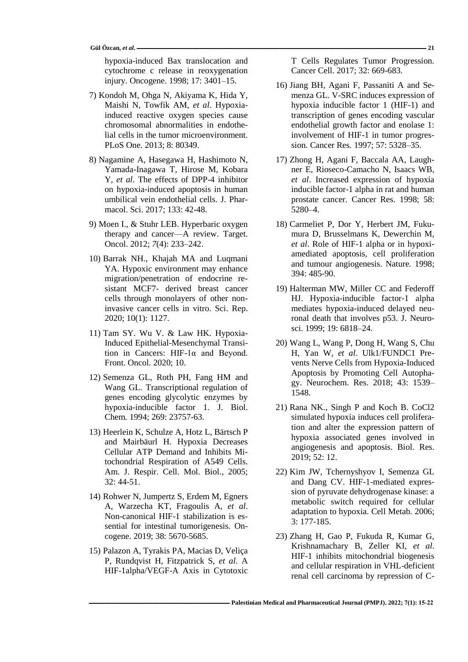hypoxia-induced Bax translocation and cytochrome c release in reoxygenation injury. Oncogene. 1998; 17: 3401–15.

- 7) Kondoh M, Ohga N, Akiyama K, Hida Y, Maishi N, Towfik AM, *et al*. Hypoxiainduced reactive oxygen species cause chromosomal abnormalities in endothelial cells in the tumor microenvironment. PLoS One. 2013; 8: 80349.
- 8) Nagamine A, Hasegawa H, Hashimoto N, Yamada-Inagawa T, Hirose M, Kobara Y, *et al*. The effects of DPP-4 inhibitor on hypoxia-induced apoptosis in human umbilical vein endothelial cells. J. Pharmacol. Sci. 2017; 133: 42-48.
- 9) Moen I., & Stuhr LEB. Hyperbaric oxygen therapy and cancer—A review. Target. Oncol. 2012; *7*(4): 233–242.
- 10) Barrak NH., Khajah MA and Luqmani YA. Hypoxic environment may enhance migration/penetration of endocrine resistant MCF7- derived breast cancer cells through monolayers of other noninvasive cancer cells in vitro. Sci. Rep. 2020; 10(1): 1127.
- 11) Tam SY. Wu V. & Law HK. Hypoxia-Induced Epithelial-Mesenchymal Transition in Cancers: HIF-1α and Beyond. Front. Oncol. 2020; 10.
- 12) Semenza GL, Roth PH, Fang HM and Wang GL. Transcriptional regulation of genes encoding glycolytic enzymes by hypoxia-inducible factor 1. J. Biol. Chem*.* 1994; 269: 23757-63.
- 13) Heerlein K, Schulze A, Hotz L, Bärtsch P and Mairbäurl H. Hypoxia Decreases Cellular ATP Demand and Inhibits Mitochondrial Respiration of A549 Cells. Am. J. Respir. Cell. Mol. Biol*.*, 2005; 32: 44-51.
- 14) Rohwer N, Jumpertz S, Erdem M, Egners A, Warzecha KT, Fragoulis A, *et al*. Non-canonical HIF-1 stabilization is essential for intestinal tumorigenesis. Oncogene. 2019; 38: 5670-5685.
- 15) Palazon A, Tyrakis PA, Macias D, Veliça P, Rundqvist H, Fitzpatrick S, *et al*. A HIF-1alpha/VEGF-A Axis in Cytotoxic

T Cells Regulates Tumor Progression. Cancer Cell. 2017; 32: 669-683.

- 16) Jiang BH, Agani F, Passaniti A and Semenza GL. V-SRC induces expression of hypoxia inducible factor 1 (HIF-1) and transcription of genes encoding vascular endothelial growth factor and enolase 1: involvement of HIF-1 in tumor progression. Cancer Res*.* 1997; 57: 5328–35.
- 17) Zhong H, Agani F, Baccala AA, Laughner E, Rioseco-Camacho N, Isaacs WB, *et al*. Increased expression of hypoxia inducible factor-1 alpha in rat and human prostate cancer. Cancer Res. 1998; 58: 5280–4.
- 18) Carmeliet P, Dor Y, Herbert JM, Fukumura D, Brusselmans K, Dewerchin M, *et al*. Role of HIF-1 alpha or in hypoxiamediated apoptosis, cell proliferation and tumour angiogenesis. Nature*.* 1998; 394: 485-90.
- 19) Halterman MW, Miller CC and Federoff HJ. Hypoxia-inducible factor-1 alpha mediates hypoxia-induced delayed neuronal death that involves p53. J. Neurosci. 1999; 19: 6818–24.
- 20) Wang L, Wang P, Dong H, Wang S, Chu H, Yan W, *et al*. Ulk1/FUNDC1 Prevents Nerve Cells from Hypoxia-Induced Apoptosis by Promoting Cell Autophagy. Neurochem. Res. 2018; 43: 1539– 1548.
- 21) Rana NK., Singh P and Koch B. CoCl2 simulated hypoxia induces cell proliferation and alter the expression pattern of hypoxia associated genes involved in angiogenesis and apoptosis. Biol. Res. 2019; 52: 12.
- 22) Kim JW, Tchernyshyov I, Semenza GL and Dang CV. HIF-1-mediated expression of pyruvate dehydrogenase kinase: a metabolic switch required for cellular adaptation to hypoxia. Cell Metab*.* 2006; 3: 177-185.
- 23) Zhang H, Gao P, Fukuda R, Kumar G, Krishnamachary B, Zeller KI, *et al*. HIF-1 inhibits mitochondrial biogenesis and cellular respiration in VHL-deficient renal cell carcinoma by repression of C-